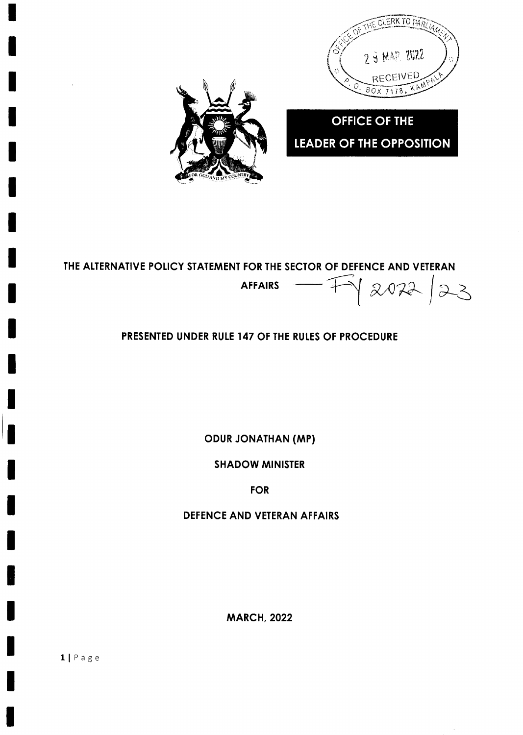

**OFFICE OF THE LEADER OF THE OPPOSITION** 



# THE ALTERNATIVE POLICY STATEMENT FOR THE SECTOR OF DEFENCE AND VETERAN  $|2022|23$ **AFFAIRS**

# PRESENTED UNDER RULE 147 OF THE RULES OF PROCEDURE

**ODUR JONATHAN (MP)** 

**SHADOW MINISTER** 

**FOR** 

DEFENCE AND VETERAN AFFAIRS

**MARCH, 2022**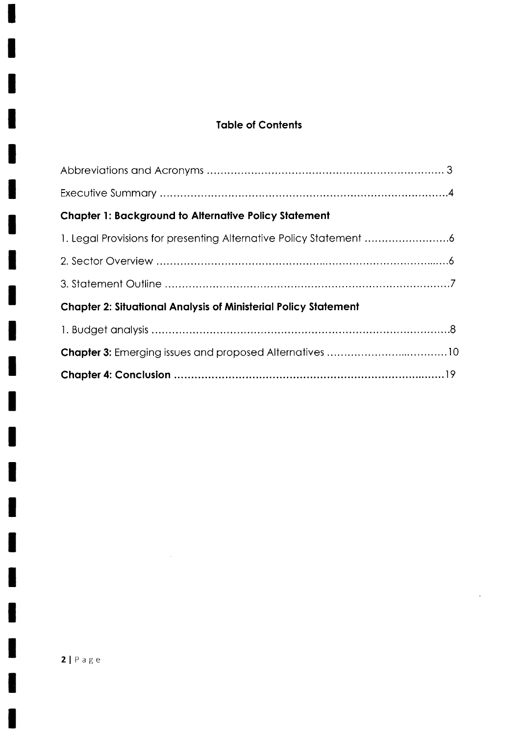# **Table of Contents**

| <b>Chapter 1: Background to Alternative Policy Statement</b>           |
|------------------------------------------------------------------------|
|                                                                        |
|                                                                        |
|                                                                        |
| <b>Chapter 2: Situational Analysis of Ministerial Policy Statement</b> |
|                                                                        |
|                                                                        |
|                                                                        |

 $\ddot{\phantom{a}}$ 

 $\overline{\phantom{a}}$ 

 $\sim 10^7$ 

 $\blacklozenge$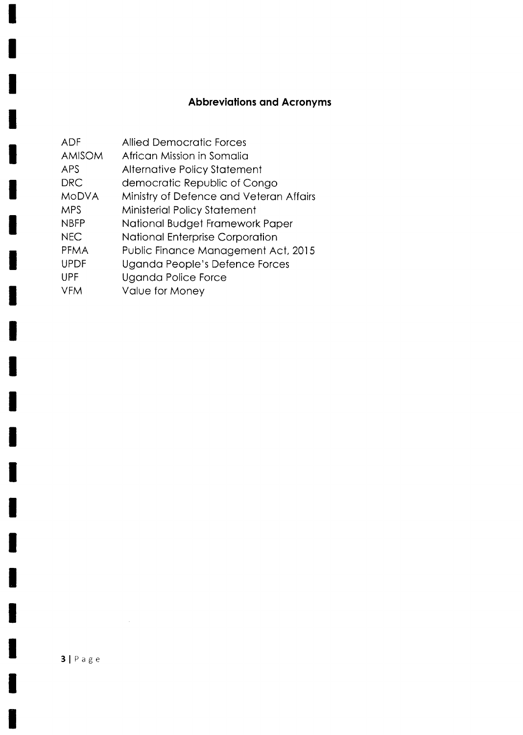# **Abbreviations and Acronyms**

| <b>ADF</b>    | <b>Allied Democratic Forces</b>         |
|---------------|-----------------------------------------|
| <b>AMISOM</b> | African Mission in Somalia              |
| <b>APS</b>    | <b>Alternative Policy Statement</b>     |
| <b>DRC</b>    | democratic Republic of Congo            |
| <b>MODVA</b>  | Ministry of Defence and Veteran Affairs |
| <b>MPS</b>    | Ministerial Policy Statement            |
| <b>NBFP</b>   | National Budget Framework Paper         |
| <b>NEC</b>    | <b>National Enterprise Corporation</b>  |
| <b>PFMA</b>   | Public Finance Management Act, 2015     |
| <b>UPDF</b>   | Uganda People's Defence Forces          |
| <b>UPF</b>    | Uganda Police Force                     |
| <b>VFM</b>    | Value for Money                         |

I

١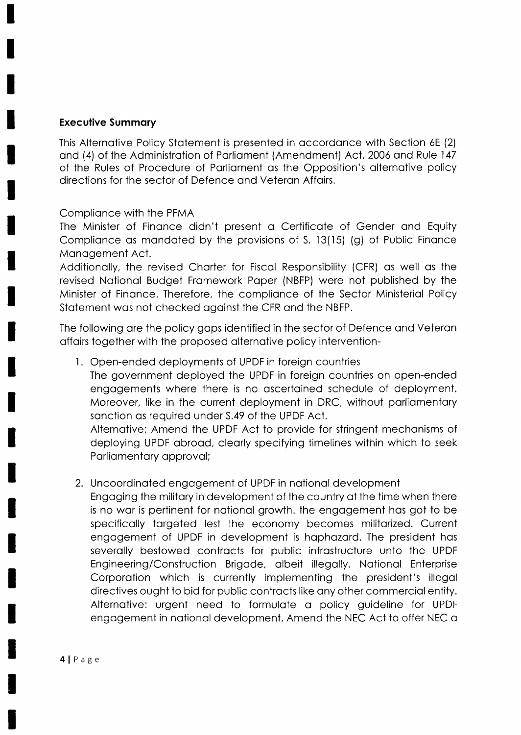#### **Executive Summary**

This Alternative Policy Statement is presented in accordance with Section 6E (2) and (4) of the Administration of Parliament (Amendment) Act, 2006 and Rule 147 of the Rules of Procedure of Parliament as the Opposition's alternative policy directions for the sector of Defence and Veteran Affairs.

## Compliance with the PFMA

The Minister of Finance didn't present a Certificate of Gender and Equity Compliance as mandated by the provisions of S. 13(15) (g) of Public Finance Management Act.

Additionally, the revised Charter for Fiscal Responsibility (CFR) as well as the revised National Budget Framework Paper (NBFP) were not published by the Minister of Finance. Therefore, the compliance of the Sector Ministerial Policy Statement was not checked against the CFR and the NBFP.

The following are the policy gaps identified in the sector of Defence and Veteran affairs together with the proposed alternative policy intervention-

1. Open-ended deployments of UPDF in foreign countries

The government deployed the UPDF in foreign countries on open-ended engagements where there is no ascertained schedule of deployment. Moreover, like in the current deployment in DRC, without parliamentary sanction as required under S.49 of the UPDF Act.

Alternative; Amend the UPDF Act to provide for stringent mechanisms of deploying UPDF abroad, clearly specifying timelines within which to seek Parliamentary approval;

## 2. Uncoordinated engagement of UPDF in national development

Engaging the military in development of the country at the time when there is no war is pertinent for national growth. the engagement has got to be specifically targeted lest the economy becomes militarized. Current engagement of UPDF in development is haphazard. The president has severally bestowed contracts for public infrastructure unto the UPDF Engineering/Construction Brigade, albeit illegally. National Enterprise Corporation which is currently implementing the president's illegal directives ought to bid for public contracts like any other commercial entity. Alternative: urgent need to formulate a policy guideline for UPDF engagement in national development. Amend the NEC Act to offer NEC a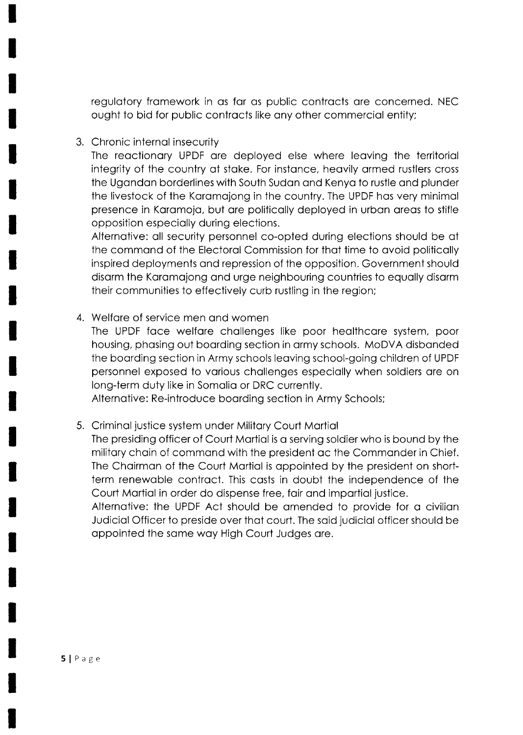regulatory framework in as far as public contracts are concerned. NEC ought to bid for public controcts like ony other commerciol entity;

3. Chronic internol insecurity

The reactionary UPDF are deployed else where leaving the territorial integrity of the country of stoke. For instonce, heovily ormed rustlers cross the Ugondon borderlines with South Sudon ond Kenyo to rustle ond plunder the livestock of the Karamajong in the country. The UPDF has very minimal presence in Karamoja, but are politically deployed in urban areas to stifle opposition especiolly during elections.

Alternotive: oll security personnel co-opted during elections should be qt the command of the Electoral Commission for that time to avoid politically inspired deployments ond repression of the opposition. Government should disarm the Karamajong and urge neighbouring countries to equally disarm their communities to effectively curb rustling in the region;

4. Welfore of service men ond women

The UPDF foce welfore chollenges like poor heolthcore system, poor housing, phosing out boording section in ormy schools. MoDVA disbonded the boording section in Army schools leoving school-going children of UPDF personnel exposed to vorious chollenges especiolly when soldiers ore on long-term duty like in Somolio or DRC currently.

Alternotive: Re-introduce boording section in Army Schools;

5. Criminol justice system under Militory Court Mortiol

The presiding officer of Court Mortiol is o serving soldier who is bound by the military chain of command with the president ac the Commander in Chief. The Choirmon of the Court Mortiol is oppointed by the president on shortterm renewoble controct. This costs in doubt the independence of the Court Martial in order do dispense free, fair and impartial justice.

Alternotive: the UPDF Act should be omended to provide for o civilion Judiciol Officer to preside over thot court. The soid judiciol officer should be oppointed the some woy High Court Judges ore.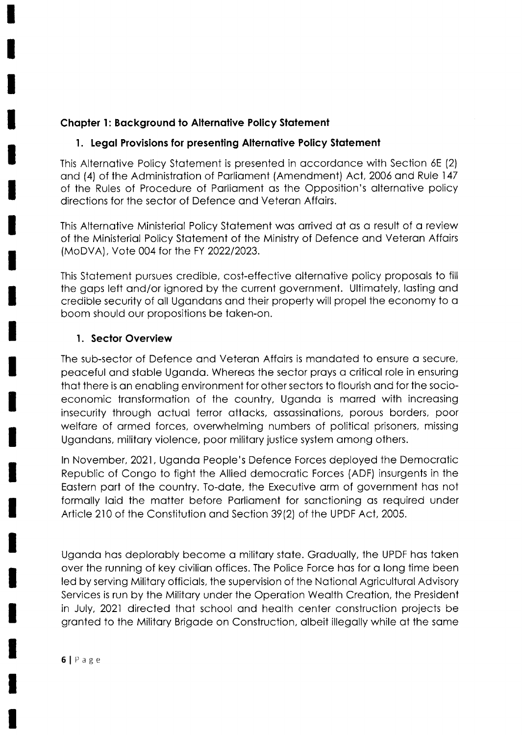## Chapter 1: Background to Alternative Policy Statement

## 1. Legal Provisions for presenting Alternative Policy Statement

This Alternative Policy Statement is presented in accordance with Section 6E (2) ond (4) of the Administrotion of Porlioment (Amendment) Act,2006 ond Rule 147 of the Rules of Procedure of Porliqment os the Opposition's olternotive policy directions for the sector of Defence ond Veteron Affoirs.

This Alternotive Ministeriol Policy Stotement wos onived of os o result of o review of the Ministeriol Policy Stotement of the Ministry of Defence ond Veteron Affoirs (MoDVA), Vote 004 for the FY 2022/2023.

This Stotement pursues credible, cost-effective olternotive policy proposols to fill the gops left ond/or ignored by the current government. Ultimotely, losting ond credible security of oll Ugondons ond their property will propel the economy to o boom should our propositions be token-on.

## l. Sector Overview

The sub-sector of Defence and Veteran Affairs is mandated to ensure a secure, peoceful ond stoble Ugondo. Whereos the sector proys o criticol role in ensuring thot there is on enobling environment for other sectors to flourish ond for the socioeconomic transformation of the country, Uganda is marred with increasing insecurity through octuol terror ottocks, ossossinotions, porous borders, poor welfare of armed forces, overwhelming numbers of political prisoners, missing Ugondons, militory violence, poor militory justice system omong others.

ln November,2021, Ugondo People's Defence Forces deployed the Democrotic Republic of Congo to fight the Allied democrotic Forces (ADF) insurgents in the Eostern port of the country. To-dote, the Executive orm of government hos not formally laid the matter before Parliament for sanctioning as required under Article 210 of the Constitution and Section 39(2) of the UPDF Act, 2005.

Ugondo hos deplorobly become o militory stote. Groduolly, the UPDF hos token over the running of key civilion offices. The Police Force hos for o long time been led by serving Militory officiols, the supervision of the Notionol Agriculturol Advisory Services is run by the Militory under the Operotion Weolth Creotion, the President in July, 2021 directed thot school ond heolth center construction projects be gronted to the Militory Brigode on Construction, olbeit illegolly while of the some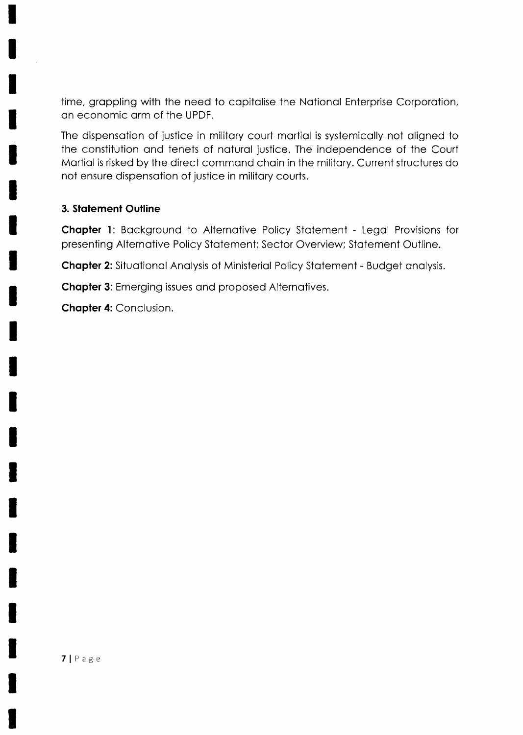time, grappling with the need to capitalise the National Enterprise Corporation, on economic orm of the UPDF.

The dispensation of justice in military court martial is systemically not aligned to the constitution ond tenets of noturol justice. The independence of the Court Mortiol is risked by the direct commond choin in the militory. Current structures do not ensure dispensotion of justice in militory courts.

#### 3. Statement Outline

Chapter 1: Background to Alternative Policy Statement - Legal Provisions for presenting Alternotive Policy Stotement; Sector Overview; Stotement Outline.

Chapter 2: Situational Analysis of Ministerial Policy Statement - Budget analysis.

**Chapter 3:** Emerging issues and proposed Alternatives.

**Chapter 4: Conclusion.**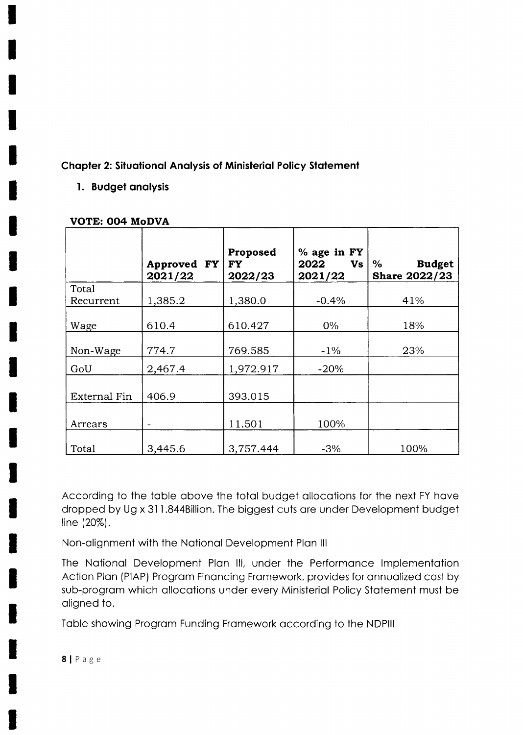# **Chapter 2: Situational Analysis of Ministerial Policy Statement**

# 1. Budget analysis

|                     | Approved FY<br>2021/22 | Proposed<br><b>FY</b><br>2022/23 | % age in FY<br>2022<br>Vs<br>2021/22 | $\%$<br><b>Budget</b><br><b>Share 2022/23</b> |
|---------------------|------------------------|----------------------------------|--------------------------------------|-----------------------------------------------|
| Total<br>Recurrent  | 1,385.2                | 1,380.0                          | $-0.4%$                              | 41%                                           |
| Wage                | 610.4                  | 610.427                          | $0\%$                                | 18%                                           |
| Non-Wage            | 774.7                  | 769.585                          | $-1\%$                               | 23%                                           |
| GoU                 | 2,467.4                | 1,972.917                        | $-20%$                               |                                               |
| <b>External Fin</b> | 406.9                  | 393.015                          |                                      |                                               |
| Arrears             |                        | 11.501                           | 100%                                 |                                               |
| Total               | 3.445.6                | 3.757.444                        | $-3%$                                | 100%                                          |

#### **VOTE: 004 MoDVA**

According to the table above the total budget allocations for the next FY have dropped by Ug x 311.844Billion. The biggest cuts are under Development budget line (20%).

Non-alignment with the National Development Plan III

The National Development Plan III, under the Performance Implementation Action Plan (PIAP) Program Financing Framework, provides for annualized cost by sub-program which allocations under every Ministerial Policy Statement must be aligned to.

Table showing Program Funding Framework according to the NDPIII

 $8 | P \nexists g e$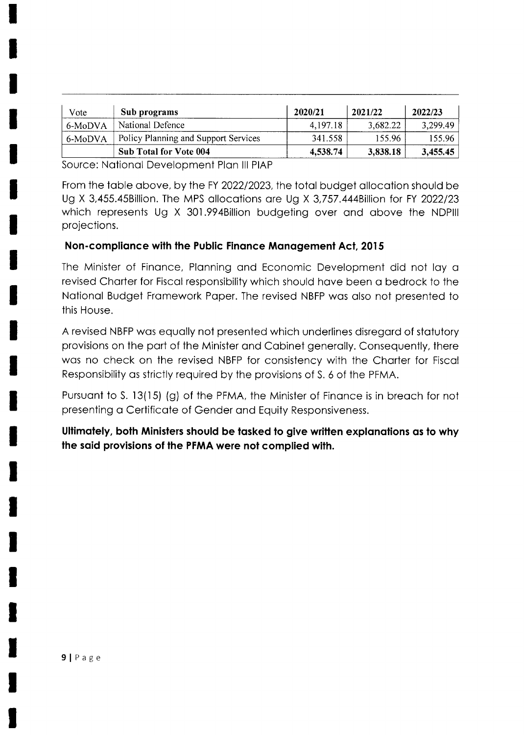| Vote    | Sub programs                         | 2020/21  | 2021/22  | 2022/23  |
|---------|--------------------------------------|----------|----------|----------|
| 6-MoDVA | National Defence                     | 4,197.18 | 3,682.22 | 3,299.49 |
| 6-MoDVA | Policy Planning and Support Services | 341.558  | 155.96   | 155.96   |
|         | Sub Total for Vote 004               | 4,538.74 | 3,838.18 | 3,455.45 |

Source: National Development Plan III PIAP

From the toble obove, by the FY 2022/2023, the totol budget ollocotion should be Ug X 3,455.45Billion. The MPS allocations are Ug X 3,757.444Billion for FY 2022/23 which represents Ug X 301.994Billion budgeting over ond obove the NDPlll projections.

## Non-complionce with the Public Finonce Monogement Acl, 20I5

The Minister of Finonce, Plonning ond Economic Development did not loy o revised Chorter for Fiscol responsibility which should hove been o bedrock to the Notionol Budget Fromework Poper. The revised NBFP wos olso not presented to this House.

A revised NBFP wos equolly not presented which underlines disregord of stotutory provisions on the port of the Minister ond Cobinet generolly. Consequently, there was no check on the revised NBFP for consistency with the Charter for Fiscal Responsibility os strictly required by the provisions of S. 5 of the PFMA.

Pursuant to S. 13(15) (g) of the PFMA, the Minister of Finance is in breach for not presenting o Certificote of Gender ond Equity Responsiveness.

Ultimately, both Ministers should be tasked to give written explanations as to why the soid provisions of the PFMA were not complied wilh.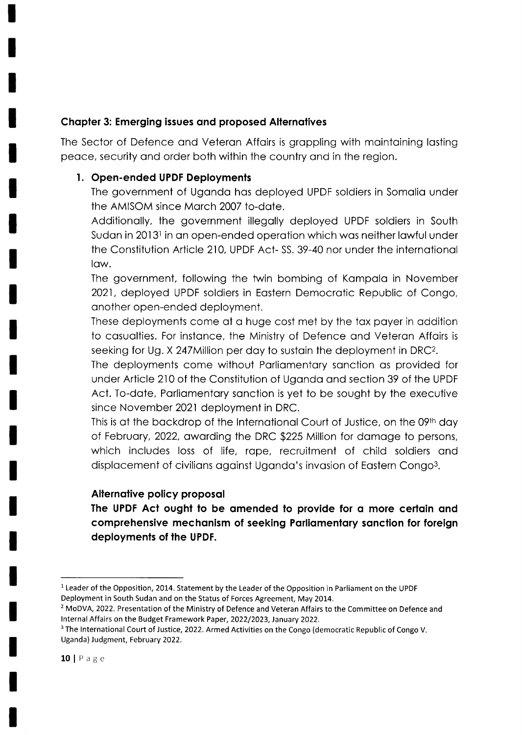## Chopter 3: Emerging issues ond proposed Alternotives

The Sector of Defence ond Veteron Affoirs is groppling with mointoining losting peoce, security ond order both within the country ond in the region.

## l. Open-ended UPDF Deploymenls

The government of Ugondo hos deployed UPDF soldiers in Somolio under the AMISOM since Morch 2007 to-dote.

Additionolly, the government illegolly deployed UPDF soldiers in South Sudan in 2013<sup>1</sup> in an open-ended operation which was neither lawful under the Constitution Article 210, UPDF Act- SS, 39-40 nor under the international low.

The government, following the twin bombing of Kampala in November 2021, deployed UPDF soldiers in Eostern Democrotic Republic of Congo, onother open-ended deployment.

These deployments come of o huge cost met by the tox poyer in oddition to casualties. For instance, the Ministry of Defence and Veteran Affairs is seeking for Ug. X 247Million per day to sustain the deployment in DRC<sup>2</sup>.

The deployments come without Parliamentary sanction as provided for under Article 210 of the Constitution of Ugondo ond section 39 of the UPDF Act. To-date, Parliamentary sanction is yet to be sought by the executive since November 2021 deployment in DRC.

This is at the backdrop of the International Court of Justice, on the 09<sup>th</sup> day of Februory,2022, owording the DRC \$225 Million for domoge to persons, which includes loss of life, rape, recruitment of child soldiers and displacement of civilians against Uganda's invasion of Eastern Congo<sup>3</sup>.

## Alternative policy proposal

The UPDF Act ought to be amended to provide for a more certain and comprehensive mechanism of seeking Parliamentary sanction for foreign deployments of the UPDF.

<sup>&</sup>lt;sup>1</sup> Leader of the Opposition, 2014. Statement by the Leader of the Opposition in Parliament on the UPDF Deployment in South Sudan and on the Status of Forces Agreement, May 2014.

<sup>&</sup>lt;sup>2</sup> MoDVA, 2022. Presentation of the Ministry of Defence and Veteran Affairs to the Committee on Defence and Internal Affairs on the Budget Framework Paper, 2022/2023, January 2022.

<sup>&</sup>lt;sup>3</sup> The International Court of Justice, 2022. Armed Activities on the Congo (democratic Republic of Congo V. Uganda) Judgment, February 2022.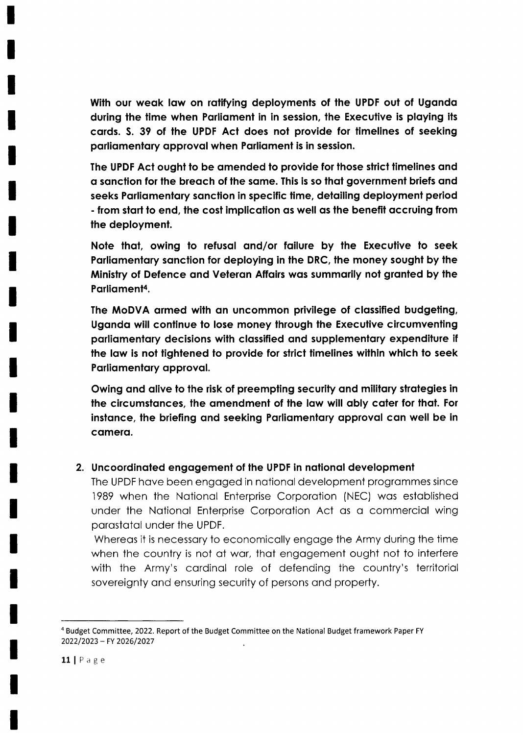With our weak law on ratifying deployments of the UPDF out of Uganda during the time when Parliament in in session, the Executive is playing its cards. S. 39 of the UPDF Act does not provide for timelines of seeking parliamentary approval when Parliament is in session.

The UPDF Act ought to be amended to provide for those strict timelines and a sanction for the breach of the same. This is so that government briefs and seeks Parliamentary sanction in specific time, detailing deployment period - from start to end, the cost implication as well as the benefit accruing from the deployment.

Note that, owing to refusal and/or failure by the Executive to seek Parliamentary sanction for deploying in the DRC, the money sought by the Ministry of Defence and Veteran Affairs was summarily not granted by the Parliament<sup>4</sup>.

The MoDVA armed with an uncommon privilege of classified budgeting, Uganda will continue to lose money through the Executive circumventing parliamentary decisions with classified and supplementary expenditure if the law is not tightened to provide for strict timelines within which to seek Parliamentary approval.

Owing and alive to the risk of preempting security and military strategies in the circumstances, the amendment of the law will ably cater for that. For instance, the briefing and seeking Parliamentary approval can well be in camera.

## 2. Uncoordinated engagement of the UPDF in national development

The UPDF have been engaged in national development programmes since 1989 when the National Enterprise Corporation (NEC) was established under the National Enterprise Corporation Act as a commercial wing parastatal under the UPDF.

Whereas it is necessary to economically engage the Army during the time when the country is not at war, that engagement ought not to interfere with the Army's cardinal role of defending the country's territorial sovereignty and ensuring security of persons and property.

<sup>&</sup>lt;sup>4</sup> Budget Committee, 2022. Report of the Budget Committee on the National Budget framework Paper FY 2022/2023 - FY 2026/2027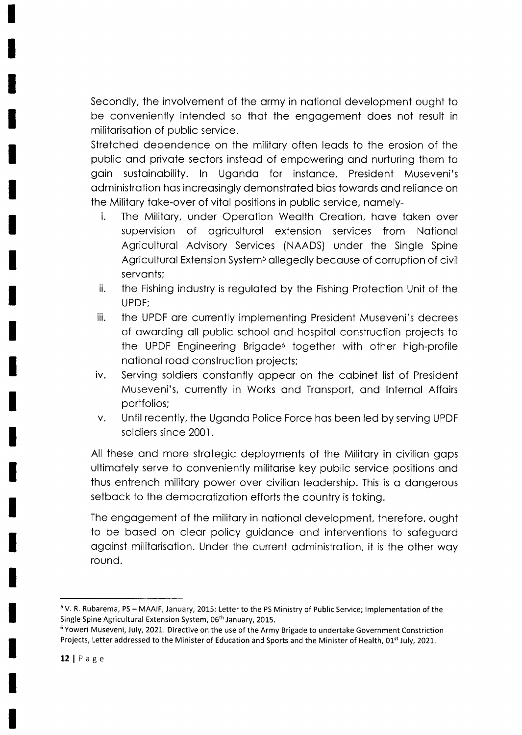Secondly, the involvement of the ormy in notionol development ought to be conveniently intended so thot the engogement does not result in militorisotion of public service.

Stretched dependence on the militory often leods to the erosion of the public ond privote sectors insteod of empowering ond nurturing them to goin sustoinobility. ln Ugondo for instonce, President Museveni's odministrotion hos increosingly demonstroted bios towords qnd relionce on the Military take-over of vital positions in public service, namely-

- i. The Military, under Operation Wealth Creation, have taken over supervision of ogriculturol extension services from Notionol Agriculturol Advisory Services (NAADS) under the Single Spine Agricultural Extension System<sup>5</sup> allegedly because of corruption of civil servonts;
- ii. the Fishing industry is reguloted by the Fishing Protection Unit of the UPDF;
- iii. the UPDF ore currently implementing President Museveni's decrees of owording oll public school ond hospitol construction projects to the UPDF Engineering Brigade<sup>6</sup> together with other high-profile notionol rood construction projects;
- iv. Serving soldiers constontly oppeor on the cobinet list of President Museveni's, currently in Works and Transport, and Internal Affairs portfolios;
- v. Until recently, the Ugondo Police Force hos been led by serving UPDF soldiers since 2001.

All these and more strategic deployments of the Military in civilian gaps ultimotely serve to conveniently militorise key public service positions ond thus entrench militory power over civilion leodership. This is o dongerous setback to the democratization efforts the country is taking.

The engogement of the militory in notionol development, therefore, ought to be bosed on cleor policy guidonce ond interventions to sofeguord ogoinst militorisotion. Under the current odministrotion, it is the other woy round.

<sup>&</sup>lt;sup>5</sup> V. R. Rubarema, PS - MAAIF, January, 2015: Letter to the PS Ministry of Public Service; Implementation of the Single Spine Agricultural Extension System, 06<sup>th</sup> January, 2015.

<sup>&</sup>lt;sup>6</sup> Yoweri Museveni, July, 2021: Directive on the use of the Army Brigade to undertake Government Constriction Projects, Letter addressed to the Minister of Education and Sports and the Minister of Health, 01<sup>st</sup> July, 2021.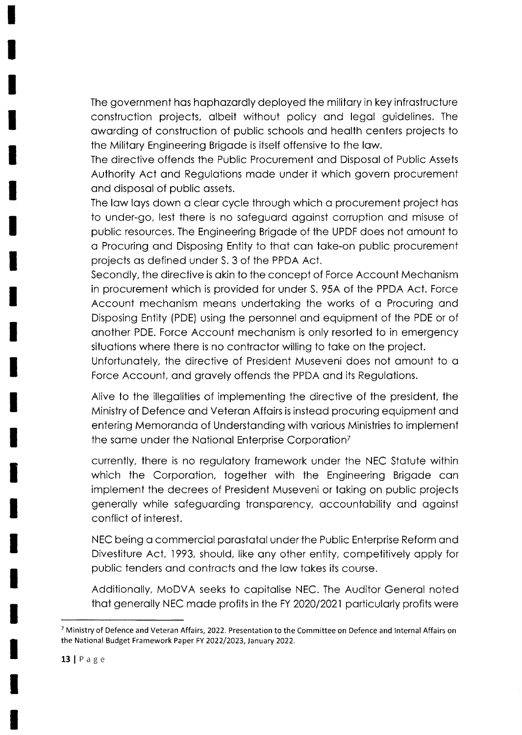The government hos hophozordly deployed the militory in key infrostructure construction projects, olbeit without policy ond legol guidelines. The owording of construction of public schools ond heolth centers projects to the Militory Engineering Brigode is itself offensive to the low.

The directive offends the Public Procurement ond Disposol of Public Assets Authority Act ond Regulotions mode under it which govern procurement ond disposol of public ossets.

The law lays down a clear cycle through which a procurement project has to under-go, lest there is no sofeguord ogoinsi corruption ond misuse of public resources. The Engineering Brigode of the UPDF does not omount to o Procuring ond Disposing Entity to thot con toke-on public procurement projects os defined under S. 3 of the PPDA Act.

Secondly, the directive is okin to the concept of Force Account Mechonism in procurement which is provided for under S. 95A of the PPDA Act. Force Account mechonism meons undertoking the works of o Procuring ond Disposing Entity (PDE) using the personnel and equipment of the PDE or of onother PDE. Force Account mechonism is only resorted to in emergency situations where there is no contractor willing to take on the project.

Unfortunately, the directive of President Museveni does not amount to a Force Account, and gravely offends the PPDA and its Regulations.

Alive to the illegolities of implementing the directive of the president, the Ministry of Defence ond Veteron Affoirs is insteod procuring equipment ond entering Memorondo of Understonding with vorious Ministries to implement the same under the National Enterprise Corporation<sup>7</sup>

currently, there is no regulotory fromework under the NEC Stotute within which the Corporation, together with the Engineering Brigade can implement the decrees of President Museveni or toking on public projects generolly while sofeguording tronsporency, occountobility ond ogoinst conflict of interest.

NEC being o commerciol porostotolunderthe Public Enterprise Reform ond Divestiture Act, 1993, should, like any other entity, competitively apply for public tenders ond controcts ond the low tokes its course.

Additionolly, MoDVA seeks to copitolise NEC. The Auditor Generol noted that generally NEC made profits in the FY 2020/2021 particularly profits were

<sup>&</sup>lt;sup>7</sup> Ministry of Defence and Veteran Affairs, 2022. Presentation to the Committee on Defence and Internal Affairs on the National Budget Framework Paper FY 2022/2023, lanuary 2022.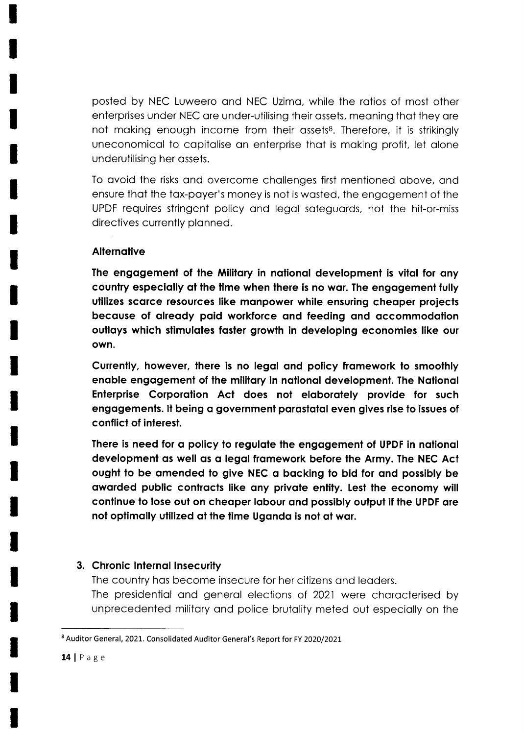posted by NEC Luweero ond NEC Uzimo, while the rotios of most other enterprises under NEC ore under-utilising their ossets, meoning thot they ore not making enough income from their assets<sup>8</sup>. Therefore, it is strikingly uneconomicol to copitolise on enterprise thot is moking profit, let olone underutilising her ossets.

To ovoid the risks ond overcome chollenges first mentioned obove, ond ensure that the tax-payer's money is not is wasted, the engagement of the UPDF requires stringent policy ond legol sofeguords, not the hit-or-miss directives currently plonned.

## **Alternative**

The engagement of the Military in national development is vital for any country especially at the time when there is no war. The engagement fully utilizes scarce resources like manpower while ensuring cheaper projects becquse of olreody poid workforce ond feeding ond qccommodolion outlays which stimulates faster growth in developing economies like our own.

Currently, however, there is no legal and policy framework to smoothly enable engagement of the military in national development. The National Enterprise Corporation Act does not elaborately provide for such engagements. It being a government parastatal even gives rise to issues of conflict of inlerest.

There is need for a policy to regulate the engagement of UPDF in national development as well as a legal framework before the Army. The NEC Act ought to be omended to give NEC o bocking to bid for ond possibly be awarded public contracts like any private entity. Lest the economy will continue to lose out on cheaper Iabour and possibly output if the UPDF are not optimally utilized at the time Uganda is not at war.

## 3. Chronic Internal Insecurity

The country has become insecure for her citizens and leaders. The presidential and general elections of 2021 were characterised by unprecedented militory ond police brutolity meted out especiolly on the

<sup>&</sup>lt;sup>8</sup> Auditor General, 2021. Consolidated Auditor General's Report for FY 2020/2021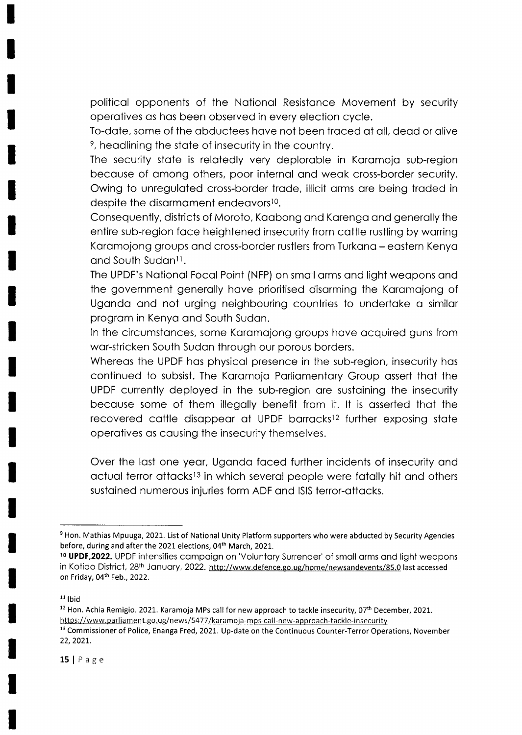political opponents of the National Resistance Movement by security operotives os hos been observed in every election cycle.

To-dote, some of the obductees hove not been troced of oll, deod or olive <sup>9</sup>, headlining the state of insecurity in the country.

The security state is relatedly very deplorable in Karamoja sub-region becouse of omong others, poor internol ond weok cross-border security. Owing to unreguloted cross-border trode, illicit orms ore being troded in despite the disarmament endeavors<sup>10</sup>.

Consequently, districts of Moroto, Kaabong and Karenga and generally the entire sub-region foce heightened insecurity from cottle rustling by worring Karamojong groups and cross-border rustlers from Turkana – eastern Kenya and South Sudan<sup>11</sup>.

The UPDF's Notionol Focol Point (NFP) on smoll orms ond light weopons ond the government generally have prioritised disarming the Karamajong of Ugondo ond not urging neighbouring countries to undertoke o similor progrom in Kenyo ond South Sudon.

In the circumstances, some Karamajong groups have acquired guns from war-stricken South Sudan through our porous borders.

Whereas the UPDF has physical presence in the sub-region, insecurity has continued to subsist. The Karamoja Parliamentary Group assert that the UPDF currently deployed in the sub-region ore sustoining the insecurity becouse some of them illegolly benefit from it. lt is osserted thot the recovered cattle disappear at UPDF barracks<sup>12</sup> further exposing state operotives os cousing the insecurity themselves.

Over the lost one yeor, Ugondo foced further incidents of insecurity ond actual terror attacks<sup>13</sup> in which several people were fatally hit and others sustoined numerous injuries form ADF ond lSlS terror-ottocks.

<sup>&</sup>lt;sup>9</sup> Hon. Mathias Mpuuga, 2021. List of National Unity Platform supporters who were abducted by Security Agencies before, during and after the 2021 elections, 04<sup>th</sup> March, 2021.

<sup>&</sup>lt;sup>10</sup> **UPDF,2022.** UPDF intensifies campaign on 'Voluntary Surrender' of small arms and light weapons in Kotido District, 28<sup>th</sup> January, 2022. http://www.defence.go.ug/home/newsandevents/85.0 last accessed on Friday, 04<sup>th</sup> Feb., 2022.

 $11$  lbid

 $12$  Hon. Achia Remigio. 2021. Karamoja MPs call for new approach to tackle insecurity, 07<sup>th</sup> December, 2021. https://www.parliament.go.ug/news/5477/karamoja-mps-call-new-approach-tackle-insecurity <sup>13</sup> Commissioner of Police, Enanga Fred, 2021. Up-date on the Continuous Counter-Terror Operations, November 22,2021.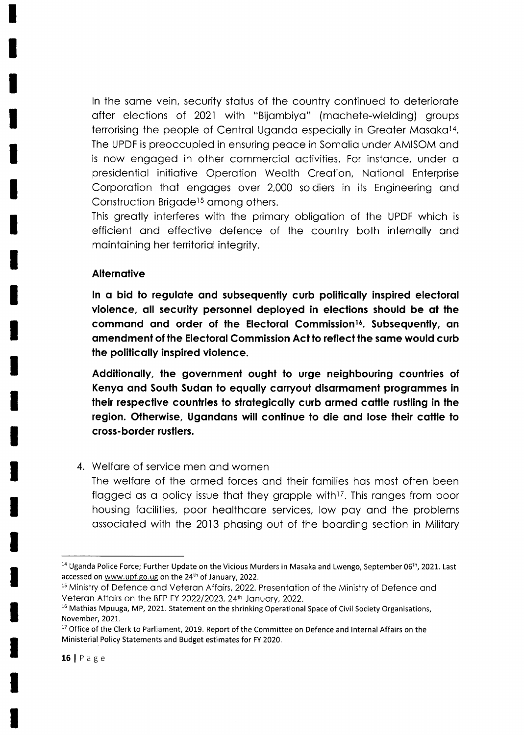In the same vein, security status of the country continued to deteriorate ofter elections of 2021 with "Bijombiyo" (mochete-wielding) groups terrorising the people of Central Uganda especially in Greater Masaka<sup>14</sup>. The UPDF is preoccupied in ensuring peoce in Somolio under AMISOM ond is now engaged in other commercial activities. For instance, under a presidentiol initiotive Operotion Weolth Creotion, Notionol Enterprise Corporation that engages over 2,000 soldiers in its Engineering and Construction Brigade<sup>15</sup> among others.

This greotly interferes with the primory obligotion of the UPDF which is efficient ond effective defence of the country both internolly ond mointoining her territoriol integrity.

#### **Alternative**

In a bid to regulate and subsequently curb politically inspired electoral violence, all security personnel deployed in elections should be at the command and order of the Electoral Commission<sup>16</sup>. Subsequently, an amendment of the Electoral Commission Act to reflect the same would curb the politicolly inspired violence.

Additionally, the government ought to urge neighbouring countries of Kenya and South Sudan to equally carryout disarmament programmes in their respective countries to strategically curb armed cattle rustling in the region. Otherwise, Ugandans will continue to die and lose their cattle to cross- border rustlers.

## 4. Welfare of service men and women

The welfore of the ormed forces ond their fomilies hos most often been flagged as a policy issue that they grapple with<sup>17</sup>. This ranges from poor housing focilities, poor heolthcore services, low poy ond the problems ossocioted with the 2013 phosing out of the boording section in Militory

<sup>&</sup>lt;sup>14</sup> Uganda Police Force; Further Update on the Vicious Murders in Masaka and Lwengo, September 06<sup>th</sup>, 2021. Last accessed on www.upf.go.ug on the 24<sup>th</sup> of January, 2022.

<sup>&</sup>lt;sup>15</sup> Ministry of Defence and Veteran Affairs, 2022. Presentation of the Ministry of Defence and Veteran Affairs on the BFP FY 2022/2023, 24<sup>th</sup> January, 2022.

<sup>&</sup>lt;sup>16</sup> Mathias Mpuuga, MP, 2021. Statement on the shrinking Operational Space of Civil Society Organisations, November, 2021.

<sup>&</sup>lt;sup>17</sup> Office of the Clerk to Parliament, 2019. Report of the Committee on Defence and Internal Affairs on the Ministerial Policy Statements and Budget estimates for FY 2020.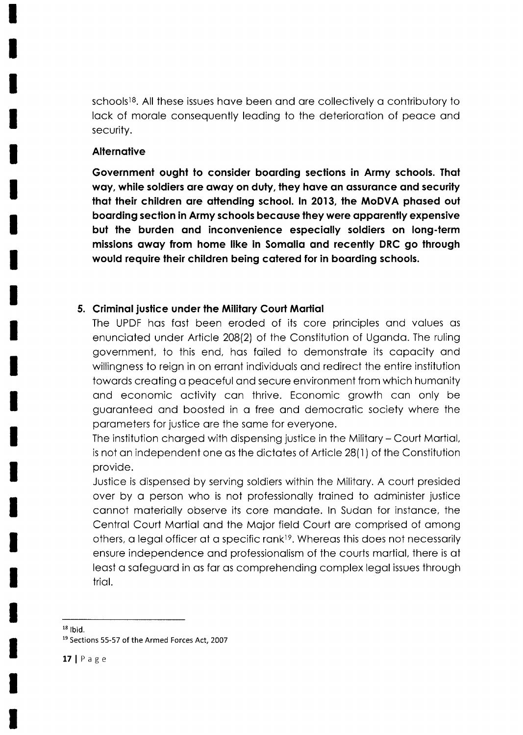schools<sup>18</sup>. All these issues have been and are collectively a contributory to lack of morale consequently leading to the deterioration of peace and security.

#### Alternative

Government ought to consider boarding sections in Army schools. That way, while soldiers are away on duty, they have an assurance and security that their children are attending school. In 2013, the MoDVA phased out boording seclion in Army schools becquse they were opporently expensive but the burden ond inconvenience especiolly soldiers on long-term missions owqy from home like in Somolio ond recently DRC go through would require their children being catered for in boarding schools.

#### 5. Criminal justice under the Military Court Martial

The UPDF has fast been eroded of its core principles and values as enunciated under Article 208(2) of the Constitution of Uganda. The ruling government, to this end, hos foiled to demonstrote its copocity ond willingness to reign in on erront individuols ond redirect the entire institution towards creating a peaceful and secure environment from which humanity and economic activity can thrive. Economic growth can only be guaranteed and boosted in a free and democratic society where the parameters for justice are the same for everyone.

The institution chorged with dispensing justice in the Militory - Court Mortiol, is not on independent one os the dictotes of Article 28(1 ) of the Constitution provide.

Justice is dispensed by serving soldiers within the Militory. A court presided over by a person who is not professionally trained to administer justice cannot materially observe its core mandate. In Sudan for instance, the Centrol Court Mortiol ond the Mojor field Court ore comprised of omong others, a legal officer at a specific rank<sup>19</sup>. Whereas this does not necessarily ensure independence and professionalism of the courts martial, there is at leost o sofeguord in os for os comprehending complex legol issues through triol.

 $18$  lbid.

<sup>&</sup>lt;sup>19</sup> Sections 55-57 of the Armed Forces Act, 2007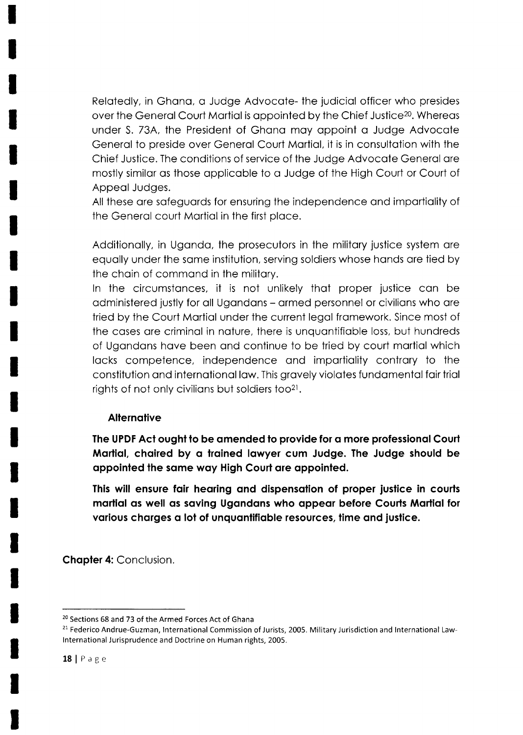Relatedly, in Ghana, a Judge Advocate- the judicial officer who presides over the General Court Martial is appointed by the Chief Justice<sup>20</sup>. Whereas under S. 73A, the President of Ghana may appoint a Judge Advocate Generol to preside over Generol Court Mortiol, it is in consultotion with the Chief Justice. The conditions of service of the Judge Advocote Generol ore mostly similor os those opplicoble to o Judge of the High Court or Court of Appeol Judges.

All these are safeguards for ensuring the independence and impartiality of the Generol court Mortiol in the first ploce.

Additionolly, in Ugondo, the prosecutors in the militory justice system ore equally under the same institution, serving soldiers whose hands are tied by the choin of commond in the militory.

ln the circumstonces, it is not unlikely thot proper justice con be odministered justly for oll Ugondons - ormed personnel or civilions who ore tried by the Court Mortiol under the current legol fromework. Since most of the coses ore criminol in noture, there is unquontifioble loss, but hundreds of Ugondons hove been ond continue to be tried by court mortiol which locks competence, independence ond importiolity controry to the constitution ond internotionol low. This grovely violotes fundomentol foir triol rights of not only civilians but soldiers too<sup>21</sup>.

#### **Alternative**

The UPDF Act ought to be amended to provide for a more professional Court Morliol, chqired by q troined Iowyer cum Judge. The Judge should be appointed the same way High Court are appointed.

This will ensure fair hearing and dispensation of proper justice in courts martial as well as saving Ugandans who appear before Courts Martial for various charges a lot of unquantifiable resources, time and justice.

Chapter 4: Conclusion.

<sup>&</sup>lt;sup>20</sup> Sections 68 and 73 of the Armed Forces Act of Ghana

<sup>&</sup>lt;sup>21</sup> Federico Andrue-Guzman, International Commission of Jurists, 2005. Military Jurisdiction and International Lawlnternational Jurisprudence and Doctrine on Human rights, 2005.